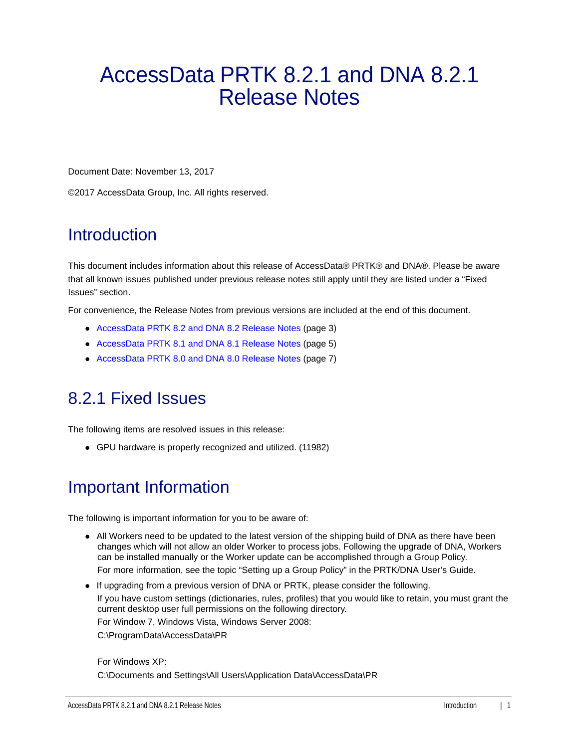# AccessData PRTK 8.2.1 and DNA 8.2.1 Release Notes

Document Date: November 13, 2017

©2017 AccessData Group, Inc. All rights reserved.

# **Introduction**

This document includes information about this release of AccessData® PRTK® and DNA®. Please be aware that all known issues published under previous release notes still apply until they are listed under a "Fixed Issues" section.

For convenience, the Release Notes from previous versions are included at the end of this document.

- [AccessData PRTK 8.2 and DNA 8.2 Release Notes \(page 3\)](#page-2-0)
- [AccessData PRTK 8.1 and DNA 8.1 Release Notes \(page 5\)](#page-4-0)
- [AccessData PRTK 8.0 and DNA 8.0 Release Notes \(page 7\)](#page-6-0)

# 8.2.1 Fixed Issues

The following items are resolved issues in this release:

GPU hardware is properly recognized and utilized. (11982)

# Important Information

The following is important information for you to be aware of:

- All Workers need to be updated to the latest version of the shipping build of DNA as there have been changes which will not allow an older Worker to process jobs. Following the upgrade of DNA, Workers can be installed manually or the Worker update can be accomplished through a Group Policy. For more information, see the topic "Setting up a Group Policy" in the PRTK/DNA User's Guide.
- If upgrading from a previous version of DNA or PRTK, please consider the following. If you have custom settings (dictionaries, rules, profiles) that you would like to retain, you must grant the current desktop user full permissions on the following directory. For Window 7, Windows Vista, Windows Server 2008: C:\ProgramData\AccessData\PR

#### For Windows XP: C:\Documents and Settings\All Users\Application Data\AccessData\PR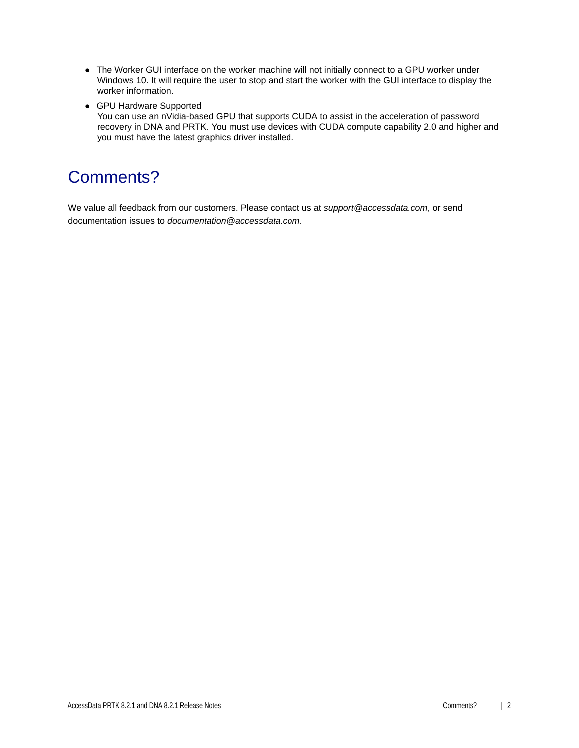- The Worker GUI interface on the worker machine will not initially connect to a GPU worker under Windows 10. It will require the user to stop and start the worker with the GUI interface to display the worker information.
- GPU Hardware Supported

You can use an nVidia-based GPU that supports CUDA to assist in the acceleration of password recovery in DNA and PRTK. You must use devices with CUDA compute capability 2.0 and higher and you must have the latest graphics driver installed.

# Comments?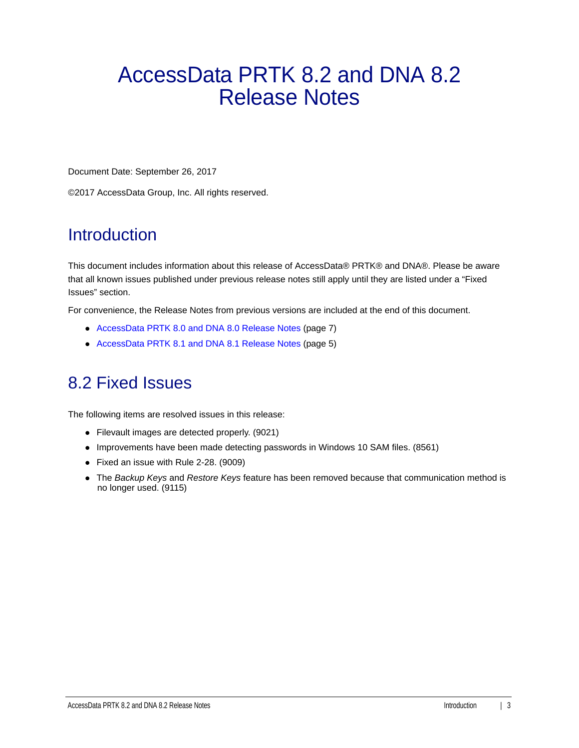# <span id="page-2-0"></span>AccessData PRTK 8.2 and DNA 8.2 Release Notes

Document Date: September 26, 2017

©2017 AccessData Group, Inc. All rights reserved.

# **Introduction**

This document includes information about this release of AccessData® PRTK® and DNA®. Please be aware that all known issues published under previous release notes still apply until they are listed under a "Fixed Issues" section.

For convenience, the Release Notes from previous versions are included at the end of this document.

- [AccessData PRTK 8.0 and DNA 8.0 Release Notes \(page 7\)](#page-6-0)
- [AccessData PRTK 8.1 and DNA 8.1 Release Notes \(page 5\)](#page-4-0)

# 8.2 Fixed Issues

The following items are resolved issues in this release:

- Filevault images are detected properly. (9021)
- Improvements have been made detecting passwords in Windows 10 SAM files. (8561)
- Fixed an issue with Rule 2-28. (9009)
- The *Backup Keys* and *Restore Keys* feature has been removed because that communication method is no longer used. (9115)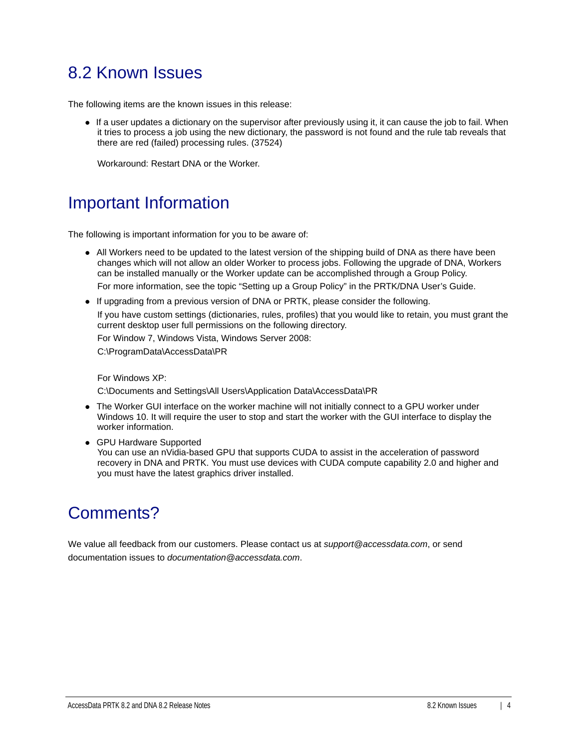# 8.2 Known Issues

The following items are the known issues in this release:

If a user updates a dictionary on the supervisor after previously using it, it can cause the job to fail. When it tries to process a job using the new dictionary, the password is not found and the rule tab reveals that there are red (failed) processing rules. (37524)

Workaround: Restart DNA or the Worker.

# Important Information

The following is important information for you to be aware of:

All Workers need to be updated to the latest version of the shipping build of DNA as there have been changes which will not allow an older Worker to process jobs. Following the upgrade of DNA, Workers can be installed manually or the Worker update can be accomplished through a Group Policy.

For more information, see the topic "Setting up a Group Policy" in the PRTK/DNA User's Guide.

If upgrading from a previous version of DNA or PRTK, please consider the following.

If you have custom settings (dictionaries, rules, profiles) that you would like to retain, you must grant the current desktop user full permissions on the following directory.

For Window 7, Windows Vista, Windows Server 2008:

C:\ProgramData\AccessData\PR

For Windows XP:

C:\Documents and Settings\All Users\Application Data\AccessData\PR

- The Worker GUI interface on the worker machine will not initially connect to a GPU worker under Windows 10. It will require the user to stop and start the worker with the GUI interface to display the worker information.
- GPU Hardware Supported

You can use an nVidia-based GPU that supports CUDA to assist in the acceleration of password recovery in DNA and PRTK. You must use devices with CUDA compute capability 2.0 and higher and you must have the latest graphics driver installed.

# Comments?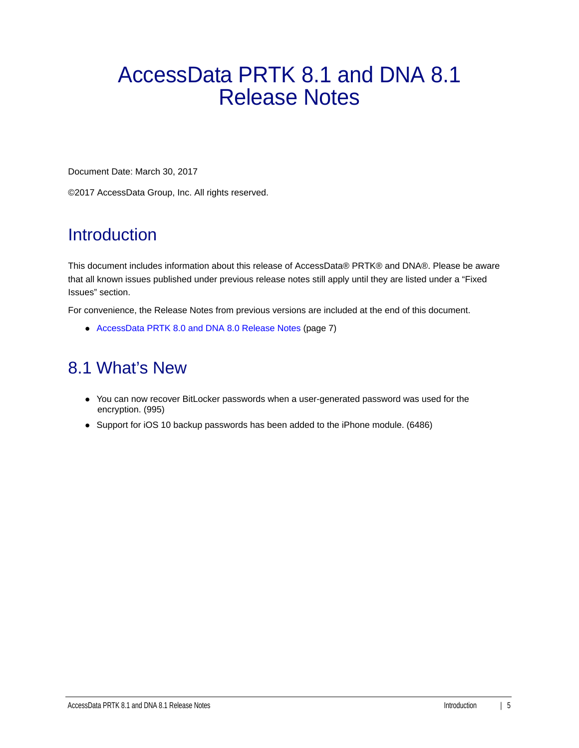# <span id="page-4-0"></span>AccessData PRTK 8.1 and DNA 8.1 Release Notes

Document Date: March 30, 2017

©2017 AccessData Group, Inc. All rights reserved.

# **Introduction**

This document includes information about this release of AccessData® PRTK® and DNA®. Please be aware that all known issues published under previous release notes still apply until they are listed under a "Fixed Issues" section.

For convenience, the Release Notes from previous versions are included at the end of this document.

[AccessData PRTK 8.0 and DNA 8.0 Release Notes \(page 7\)](#page-6-0)

# 8.1 What's New

- You can now recover BitLocker passwords when a user-generated password was used for the encryption. (995)
- Support for iOS 10 backup passwords has been added to the iPhone module. (6486)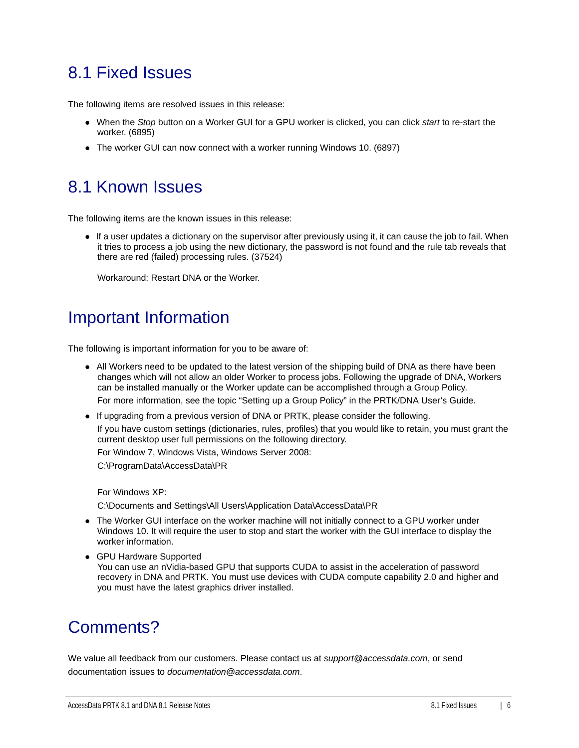# 8.1 Fixed Issues

The following items are resolved issues in this release:

- When the *Stop* button on a Worker GUI for a GPU worker is clicked, you can click *start* to re-start the worker. (6895)
- The worker GUI can now connect with a worker running Windows 10. (6897)

## 8.1 Known Issues

The following items are the known issues in this release:

If a user updates a dictionary on the supervisor after previously using it, it can cause the job to fail. When it tries to process a job using the new dictionary, the password is not found and the rule tab reveals that there are red (failed) processing rules. (37524)

Workaround: Restart DNA or the Worker.

# Important Information

The following is important information for you to be aware of:

All Workers need to be updated to the latest version of the shipping build of DNA as there have been changes which will not allow an older Worker to process jobs. Following the upgrade of DNA, Workers can be installed manually or the Worker update can be accomplished through a Group Policy.

For more information, see the topic "Setting up a Group Policy" in the PRTK/DNA User's Guide.

If upgrading from a previous version of DNA or PRTK, please consider the following.

If you have custom settings (dictionaries, rules, profiles) that you would like to retain, you must grant the current desktop user full permissions on the following directory.

For Window 7, Windows Vista, Windows Server 2008:

C:\ProgramData\AccessData\PR

For Windows XP:

C:\Documents and Settings\All Users\Application Data\AccessData\PR

- The Worker GUI interface on the worker machine will not initially connect to a GPU worker under Windows 10. It will require the user to stop and start the worker with the GUI interface to display the worker information.
- GPU Hardware Supported You can use an nVidia-based GPU that supports CUDA to assist in the acceleration of password recovery in DNA and PRTK. You must use devices with CUDA compute capability 2.0 and higher and you must have the latest graphics driver installed.

# Comments?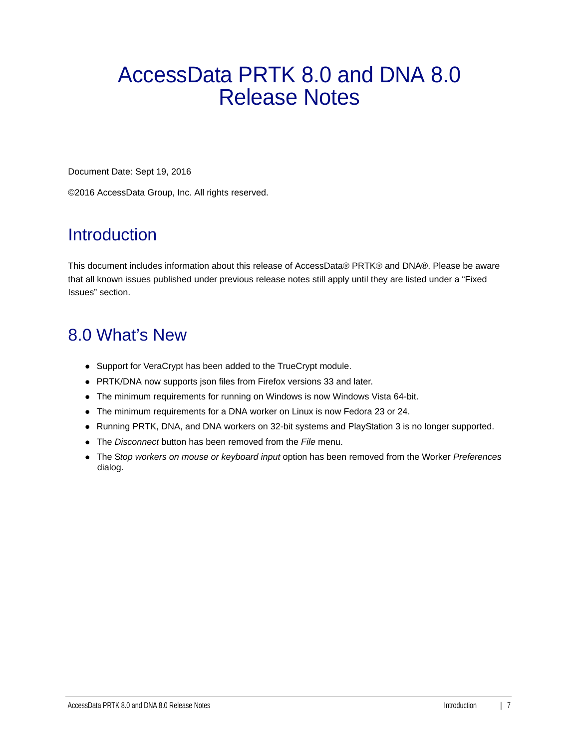# <span id="page-6-0"></span>AccessData PRTK 8.0 and DNA 8.0 Release Notes

Document Date: Sept 19, 2016

©2016 AccessData Group, Inc. All rights reserved.

# **Introduction**

This document includes information about this release of AccessData® PRTK® and DNA®. Please be aware that all known issues published under previous release notes still apply until they are listed under a "Fixed Issues" section.

# 8.0 What's New

- Support for VeraCrypt has been added to the TrueCrypt module.
- PRTK/DNA now supports json files from Firefox versions 33 and later.
- The minimum requirements for running on Windows is now Windows Vista 64-bit.
- The minimum requirements for a DNA worker on Linux is now Fedora 23 or 24.
- Running PRTK, DNA, and DNA workers on 32-bit systems and PlayStation 3 is no longer supported.
- The *Disconnect* button has been removed from the *File* menu.
- The S*top workers on mouse or keyboard input* option has been removed from the Worker *Preferences* dialog.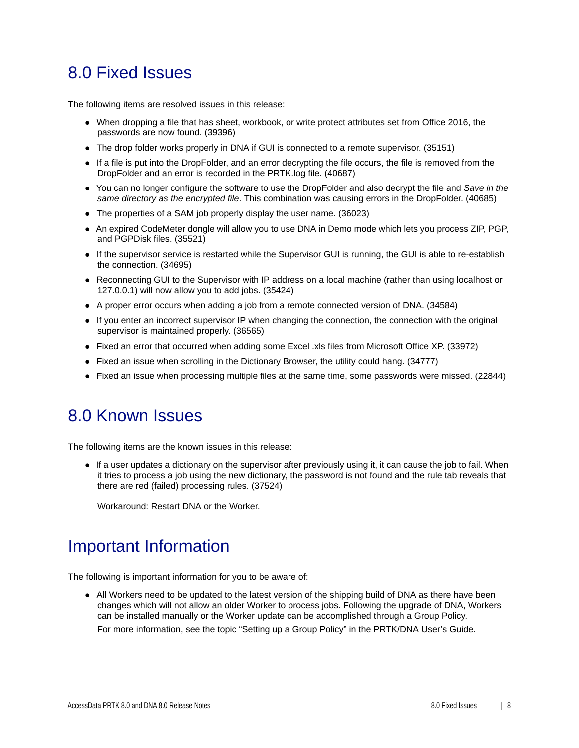# 8.0 Fixed Issues

The following items are resolved issues in this release:

- When dropping a file that has sheet, workbook, or write protect attributes set from Office 2016, the passwords are now found. (39396)
- The drop folder works properly in DNA if GUI is connected to a remote supervisor. (35151)
- If a file is put into the DropFolder, and an error decrypting the file occurs, the file is removed from the DropFolder and an error is recorded in the PRTK.log file. (40687)
- You can no longer configure the software to use the DropFolder and also decrypt the file and *Save in the same directory as the encrypted file*. This combination was causing errors in the DropFolder. (40685)
- The properties of a SAM job properly display the user name. (36023)
- An expired CodeMeter dongle will allow you to use DNA in Demo mode which lets you process ZIP, PGP, and PGPDisk files. (35521)
- If the supervisor service is restarted while the Supervisor GUI is running, the GUI is able to re-establish the connection. (34695)
- Reconnecting GUI to the Supervisor with IP address on a local machine (rather than using localhost or 127.0.0.1) will now allow you to add jobs. (35424)
- A proper error occurs when adding a job from a remote connected version of DNA. (34584)
- If you enter an incorrect supervisor IP when changing the connection, the connection with the original supervisor is maintained properly. (36565)
- Fixed an error that occurred when adding some Excel .xls files from Microsoft Office XP. (33972)
- Fixed an issue when scrolling in the Dictionary Browser, the utility could hang. (34777)
- Fixed an issue when processing multiple files at the same time, some passwords were missed. (22844)

#### 8.0 Known Issues

The following items are the known issues in this release:

If a user updates a dictionary on the supervisor after previously using it, it can cause the job to fail. When it tries to process a job using the new dictionary, the password is not found and the rule tab reveals that there are red (failed) processing rules. (37524)

Workaround: Restart DNA or the Worker.

# Important Information

The following is important information for you to be aware of:

All Workers need to be updated to the latest version of the shipping build of DNA as there have been changes which will not allow an older Worker to process jobs. Following the upgrade of DNA, Workers can be installed manually or the Worker update can be accomplished through a Group Policy.

For more information, see the topic "Setting up a Group Policy" in the PRTK/DNA User's Guide.